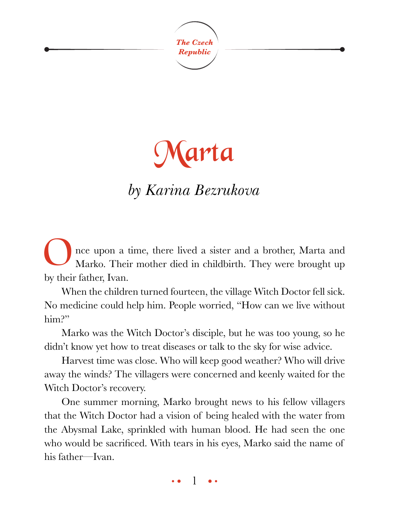

arta

## *by Karina Bezrukova*

nce upon a time, there lived a sister and a brother, Marta and Marko. Their mother died in childbirth. They were brought up by their father, Ivan.

When the children turned fourteen, the village Witch Doctor fell sick. No medicine could help him. People worried, "How can we live without him?"

Marko was the Witch Doctor's disciple, but he was too young, so he didn't know yet how to treat diseases or talk to the sky for wise advice.

Harvest time was close. Who will keep good weather? Who will drive away the winds? The villagers were concerned and keenly waited for the Witch Doctor's recovery.

One summer morning, Marko brought news to his fellow villagers that the Witch Doctor had a vision of being healed with the water from the Abysmal Lake, sprinkled with human blood. He had seen the one who would be sacrificed. With tears in his eyes, Marko said the name of his father—Ivan.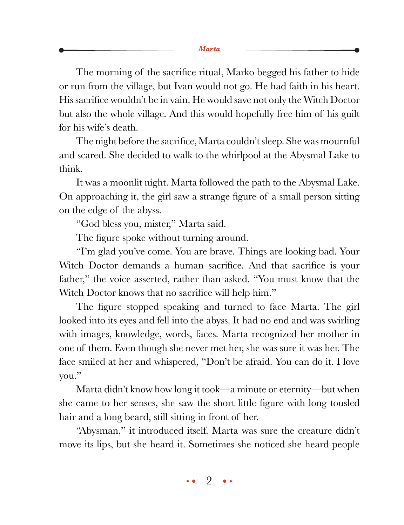## *Marta*

The morning of the sacrifice ritual, Marko begged his father to hide or run from the village, but Ivan would not go. He had faith in his heart. His sacrifice wouldn't be in vain. He would save not only the Witch Doctor but also the whole village. And this would hopefully free him of his guilt for his wife's death.

The night before the sacrifice, Marta couldn't sleep. She was mournful and scared. She decided to walk to the whirlpool at the Abysmal Lake to think.

It was a moonlit night. Marta followed the path to the Abysmal Lake. On approaching it, the girl saw a strange figure of a small person sitting on the edge of the abyss.

"God bless you, mister," Marta said.

The figure spoke without turning around.

"I'm glad you've come. You are brave. Things are looking bad. Your Witch Doctor demands a human sacrifice. And that sacrifice is your father," the voice asserted, rather than asked. "You must know that the Witch Doctor knows that no sacrifice will help him."

The figure stopped speaking and turned to face Marta. The girl looked into its eyes and fell into the abyss. It had no end and was swirling with images, knowledge, words, faces. Marta recognized her mother in one of them. Even though she never met her, she was sure it was her. The face smiled at her and whispered, "Don't be afraid. You can do it. I love you."

Marta didn't know how long it took—a minute or eternity—but when she came to her senses, she saw the short little figure with long tousled hair and a long beard, still sitting in front of her.

"Abysman," it introduced itself. Marta was sure the creature didn't move its lips, but she heard it. Sometimes she noticed she heard people

 $\cdots$  2  $\cdots$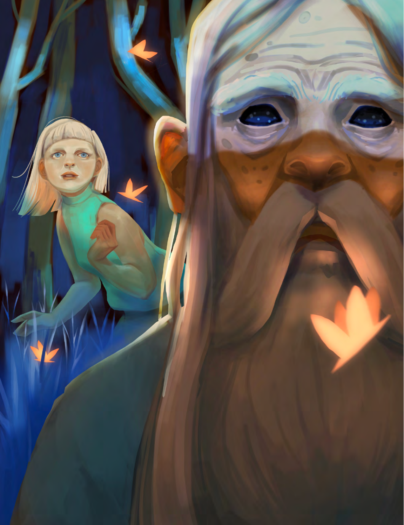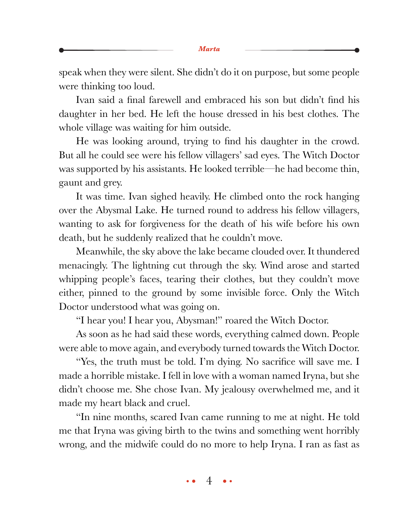speak when they were silent. She didn't do it on purpose, but some people were thinking too loud.

Ivan said a final farewell and embraced his son but didn't find his daughter in her bed. He left the house dressed in his best clothes. The whole village was waiting for him outside.

He was looking around, trying to find his daughter in the crowd. But all he could see were his fellow villagers' sad eyes. The Witch Doctor was supported by his assistants. He looked terrible—he had become thin, gaunt and grey.

It was time. Ivan sighed heavily. He climbed onto the rock hanging over the Abysmal Lake. He turned round to address his fellow villagers, wanting to ask for forgiveness for the death of his wife before his own death, but he suddenly realized that he couldn't move.

Meanwhile, the sky above the lake became clouded over. It thundered menacingly. The lightning cut through the sky. Wind arose and started whipping people's faces, tearing their clothes, but they couldn't move either, pinned to the ground by some invisible force. Only the Witch Doctor understood what was going on.

"I hear you! I hear you, Abysman!" roared the Witch Doctor.

As soon as he had said these words, everything calmed down. People were able to move again, and everybody turned towards the Witch Doctor.

"Yes, the truth must be told. I'm dying. No sacrifice will save me. I made a horrible mistake. I fell in love with a woman named Iryna, but she didn't choose me. She chose Ivan. My jealousy overwhelmed me, and it made my heart black and cruel.

"In nine months, scared Ivan came running to me at night. He told me that Iryna was giving birth to the twins and something went horribly wrong, and the midwife could do no more to help Iryna. I ran as fast as